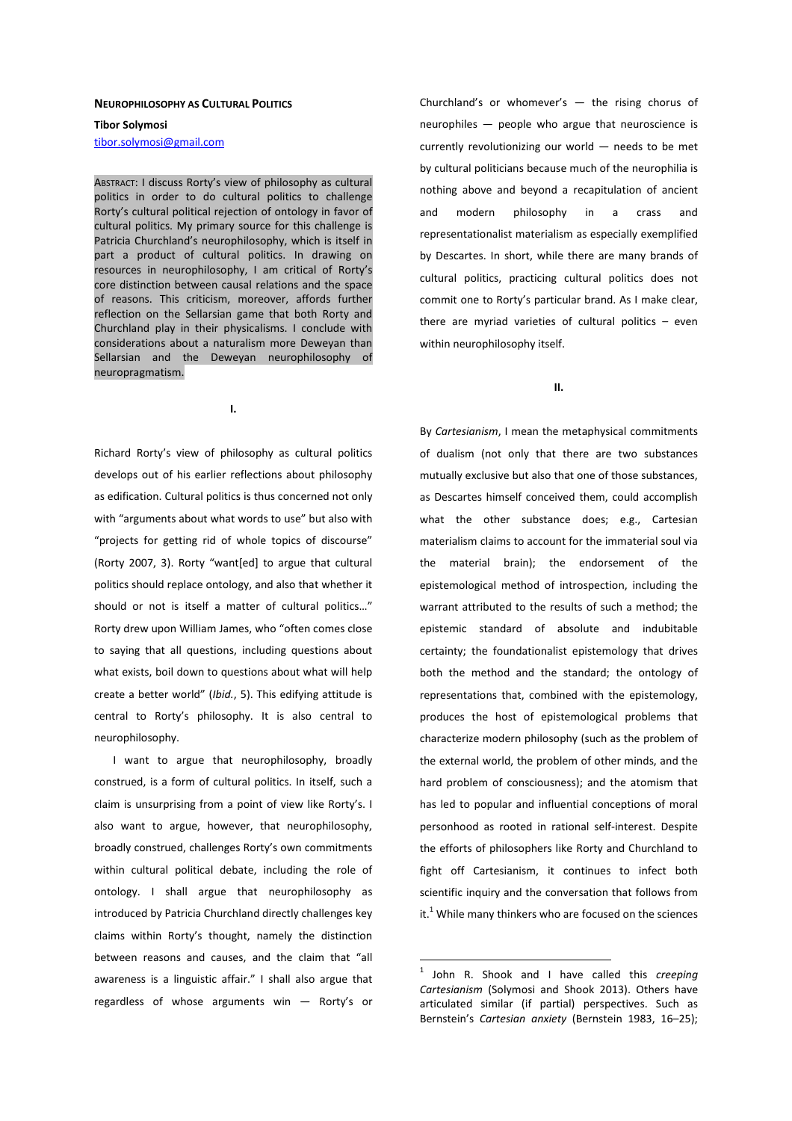#### **NEUROPHILOSOPHY AS CULTURAL POLITICS**

**Tibor Solymosi** 

tibor.solymosi@gmail.com

ABSTRACT: I discuss Rorty's view of philosophy as cultural politics in order to do cultural politics to challenge Rorty's cultural political rejection of ontology in favor of cultural politics. My primary source for this challenge is Patricia Churchland's neurophilosophy, which is itself in part a product of cultural politics. In drawing on resources in neurophilosophy, I am critical of Rorty's core distinction between causal relations and the space of reasons. This criticism, moreover, affords further reflection on the Sellarsian game that both Rorty and Churchland play in their physicalisms. I conclude with considerations about a naturalism more Deweyan than Sellarsian and the Deweyan neurophilosophy of neuropragmatism.

**I.** 

Richard Rorty's view of philosophy as cultural politics develops out of his earlier reflections about philosophy as edification. Cultural politics is thus concerned not only with "arguments about what words to use" but also with "projects for getting rid of whole topics of discourse" (Rorty 2007, 3). Rorty "want[ed] to argue that cultural politics should replace ontology, and also that whether it should or not is itself a matter of cultural politics…" Rorty drew upon William James, who "often comes close to saying that all questions, including questions about what exists, boil down to questions about what will help create a better world" (*Ibid.*, 5). This edifying attitude is central to Rorty's philosophy. It is also central to neurophilosophy.

I want to argue that neurophilosophy, broadly construed, is a form of cultural politics. In itself, such a claim is unsurprising from a point of view like Rorty's. I also want to argue, however, that neurophilosophy, broadly construed, challenges Rorty's own commitments within cultural political debate, including the role of ontology. I shall argue that neurophilosophy as introduced by Patricia Churchland directly challenges key claims within Rorty's thought, namely the distinction between reasons and causes, and the claim that "all awareness is a linguistic affair." I shall also argue that regardless of whose arguments win — Rorty's or Churchland's or whomever's  $-$  the rising chorus of neurophiles — people who argue that neuroscience is currently revolutionizing our world — needs to be met by cultural politicians because much of the neurophilia is nothing above and beyond a recapitulation of ancient and modern philosophy in a crass and representationalist materialism as especially exemplified by Descartes. In short, while there are many brands of cultural politics, practicing cultural politics does not commit one to Rorty's particular brand. As I make clear, there are myriad varieties of cultural politics – even within neurophilosophy itself.

#### **II.**

By *Cartesianism*, I mean the metaphysical commitments of dualism (not only that there are two substances mutually exclusive but also that one of those substances, as Descartes himself conceived them, could accomplish what the other substance does; e.g., Cartesian materialism claims to account for the immaterial soul via the material brain); the endorsement of the epistemological method of introspection, including the warrant attributed to the results of such a method; the epistemic standard of absolute and indubitable certainty; the foundationalist epistemology that drives both the method and the standard; the ontology of representations that, combined with the epistemology, produces the host of epistemological problems that characterize modern philosophy (such as the problem of the external world, the problem of other minds, and the hard problem of consciousness); and the atomism that has led to popular and influential conceptions of moral personhood as rooted in rational self-interest. Despite the efforts of philosophers like Rorty and Churchland to fight off Cartesianism, it continues to infect both scientific inquiry and the conversation that follows from it.<sup>1</sup> While many thinkers who are focused on the sciences

<sup>1</sup> John R. Shook and I have called this *creeping Cartesianism* (Solymosi and Shook 2013). Others have articulated similar (if partial) perspectives. Such as Bernstein's *Cartesian anxiety* (Bernstein 1983, 16–25);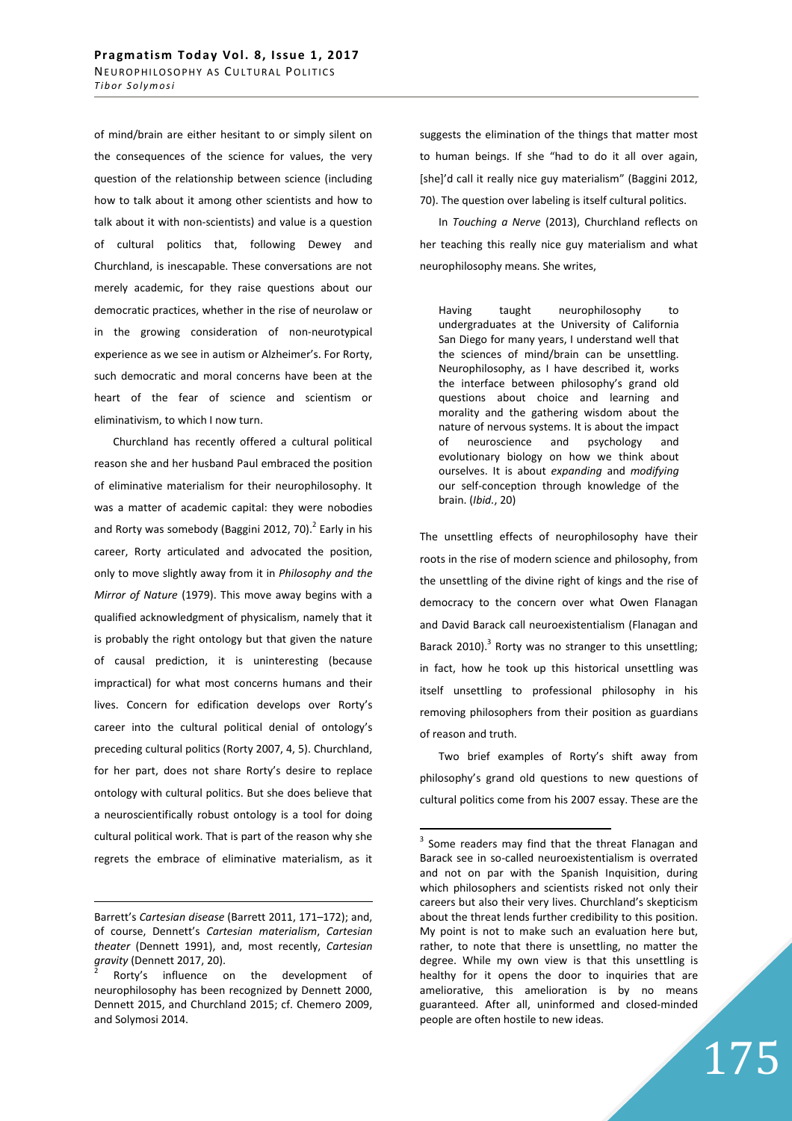of mind/brain are either hesitant to or simply silent on the consequences of the science for values, the very question of the relationship between science (including how to talk about it among other scientists and how to talk about it with non-scientists) and value is a question of cultural politics that, following Dewey and Churchland, is inescapable. These conversations are not merely academic, for they raise questions about our democratic practices, whether in the rise of neurolaw or in the growing consideration of non-neurotypical experience as we see in autism or Alzheimer's. For Rorty, such democratic and moral concerns have been at the heart of the fear of science and scientism or eliminativism, to which I now turn.

Churchland has recently offered a cultural political reason she and her husband Paul embraced the position of eliminative materialism for their neurophilosophy. It was a matter of academic capital: they were nobodies and Rorty was somebody (Baggini 2012, 70). $^2$  Early in his career, Rorty articulated and advocated the position, only to move slightly away from it in *Philosophy and the Mirror of Nature* (1979). This move away begins with a qualified acknowledgment of physicalism, namely that it is probably the right ontology but that given the nature of causal prediction, it is uninteresting (because impractical) for what most concerns humans and their lives. Concern for edification develops over Rorty's career into the cultural political denial of ontology's preceding cultural politics (Rorty 2007, 4, 5). Churchland, for her part, does not share Rorty's desire to replace ontology with cultural politics. But she does believe that a neuroscientifically robust ontology is a tool for doing cultural political work. That is part of the reason why she regrets the embrace of eliminative materialism, as it

<u>.</u>

suggests the elimination of the things that matter most to human beings. If she "had to do it all over again, [she]'d call it really nice guy materialism" (Baggini 2012, 70). The question over labeling is itself cultural politics.

In *Touching a Nerve* (2013), Churchland reflects on her teaching this really nice guy materialism and what neurophilosophy means. She writes,

Having taught neurophilosophy to undergraduates at the University of California San Diego for many years, I understand well that the sciences of mind/brain can be unsettling. Neurophilosophy, as I have described it, works the interface between philosophy's grand old questions about choice and learning and morality and the gathering wisdom about the nature of nervous systems. It is about the impact of neuroscience and psychology and evolutionary biology on how we think about ourselves. It is about *expanding* and *modifying* our self-conception through knowledge of the brain. (*Ibid.*, 20)

The unsettling effects of neurophilosophy have their roots in the rise of modern science and philosophy, from the unsettling of the divine right of kings and the rise of democracy to the concern over what Owen Flanagan and David Barack call neuroexistentialism (Flanagan and Barack 2010). $^3$  Rorty was no stranger to this unsettling; in fact, how he took up this historical unsettling was itself unsettling to professional philosophy in his removing philosophers from their position as guardians of reason and truth.

Two brief examples of Rorty's shift away from philosophy's grand old questions to new questions of cultural politics come from his 2007 essay. These are the

 $\overline{a}$ 

175

Barrett's *Cartesian disease* (Barrett 2011, 171–172); and, of course, Dennett's *Cartesian materialism*, *Cartesian theater* (Dennett 1991), and, most recently, *Cartesian gravity* (Dennett 2017, 20).

 $\overline{2}$  Rorty's influence on the development of neurophilosophy has been recognized by Dennett 2000, Dennett 2015, and Churchland 2015; cf. Chemero 2009, and Solymosi 2014.

 $3$  Some readers may find that the threat Flanagan and Barack see in so-called neuroexistentialism is overrated and not on par with the Spanish Inquisition, during which philosophers and scientists risked not only their careers but also their very lives. Churchland's skepticism about the threat lends further credibility to this position. My point is not to make such an evaluation here but, rather, to note that there is unsettling, no matter the degree. While my own view is that this unsettling is healthy for it opens the door to inquiries that are ameliorative, this amelioration is by no means guaranteed. After all, uninformed and closed-minded people are often hostile to new ideas.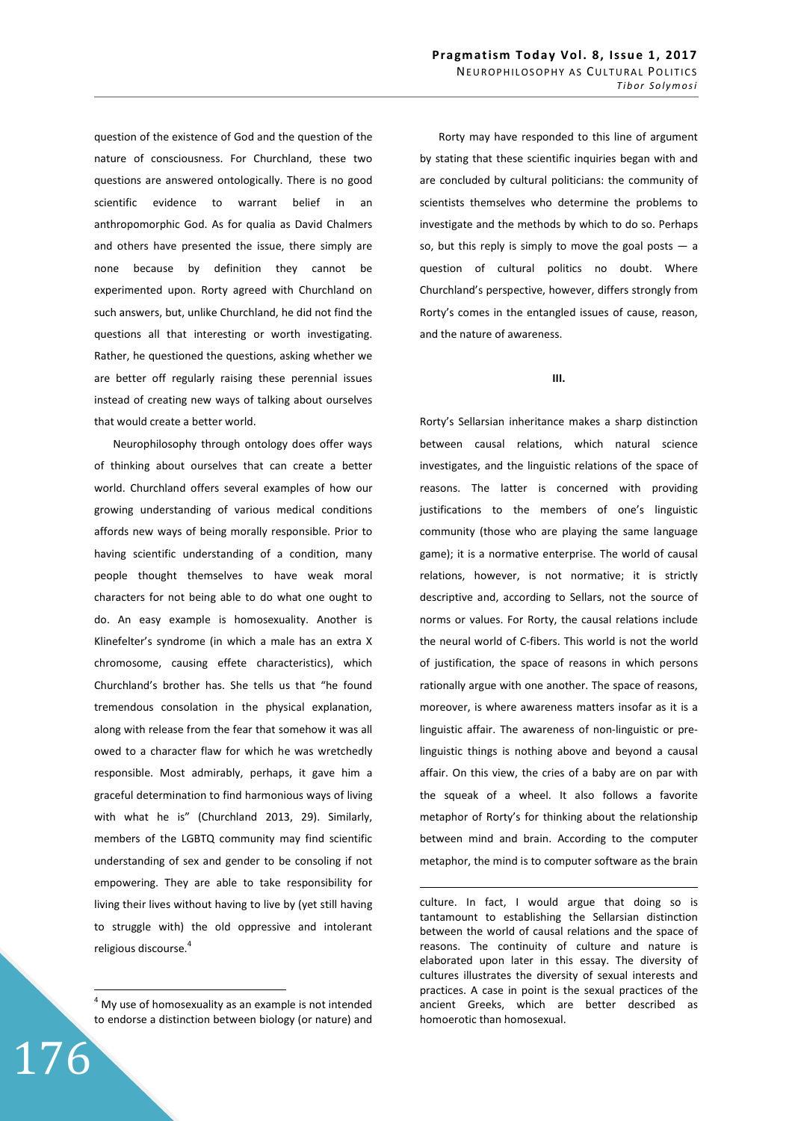question of the existence of God and the question of the nature of consciousness. For Churchland, these two questions are answered ontologically. There is no good scientific evidence to warrant belief in an anthropomorphic God. As for qualia as David Chalmers and others have presented the issue, there simply are none because by definition they cannot be experimented upon. Rorty agreed with Churchland on such answers, but, unlike Churchland, he did not find the questions all that interesting or worth investigating. Rather, he questioned the questions, asking whether we are better off regularly raising these perennial issues instead of creating new ways of talking about ourselves that would create a better world.

Neurophilosophy through ontology does offer ways of thinking about ourselves that can create a better world. Churchland offers several examples of how our growing understanding of various medical conditions affords new ways of being morally responsible. Prior to having scientific understanding of a condition, many people thought themselves to have weak moral characters for not being able to do what one ought to do. An easy example is homosexuality. Another is Klinefelter's syndrome (in which a male has an extra X chromosome, causing effete characteristics), which Churchland's brother has. She tells us that "he found tremendous consolation in the physical explanation, along with release from the fear that somehow it was all owed to a character flaw for which he was wretchedly responsible. Most admirably, perhaps, it gave him a graceful determination to find harmonious ways of living with what he is" (Churchland 2013, 29). Similarly, members of the LGBTQ community may find scientific understanding of sex and gender to be consoling if not empowering. They are able to take responsibility for living their lives without having to live by (yet still having to struggle with) the old oppressive and intolerant religious discourse.<sup>4</sup>

176

Rorty may have responded to this line of argument by stating that these scientific inquiries began with and are concluded by cultural politicians: the community of scientists themselves who determine the problems to investigate and the methods by which to do so. Perhaps so, but this reply is simply to move the goal posts  $-$  a question of cultural politics no doubt. Where Churchland's perspective, however, differs strongly from Rorty's comes in the entangled issues of cause, reason, and the nature of awareness.

## **III.**

Rorty's Sellarsian inheritance makes a sharp distinction between causal relations, which natural science investigates, and the linguistic relations of the space of reasons. The latter is concerned with providing justifications to the members of one's linguistic community (those who are playing the same language game); it is a normative enterprise. The world of causal relations, however, is not normative; it is strictly descriptive and, according to Sellars, not the source of norms or values. For Rorty, the causal relations include the neural world of C-fibers. This world is not the world of justification, the space of reasons in which persons rationally argue with one another. The space of reasons, moreover, is where awareness matters insofar as it is a linguistic affair. The awareness of non-linguistic or prelinguistic things is nothing above and beyond a causal affair. On this view, the cries of a baby are on par with the squeak of a wheel. It also follows a favorite metaphor of Rorty's for thinking about the relationship between mind and brain. According to the computer metaphor, the mind is to computer software as the brain

culture. In fact, I would argue that doing so is tantamount to establishing the Sellarsian distinction between the world of causal relations and the space of reasons. The continuity of culture and nature is elaborated upon later in this essay. The diversity of cultures illustrates the diversity of sexual interests and practices. A case in point is the sexual practices of the ancient Greeks, which are better described as homoerotic than homosexual.

 4 My use of homosexuality as an example is not intended to endorse a distinction between biology (or nature) and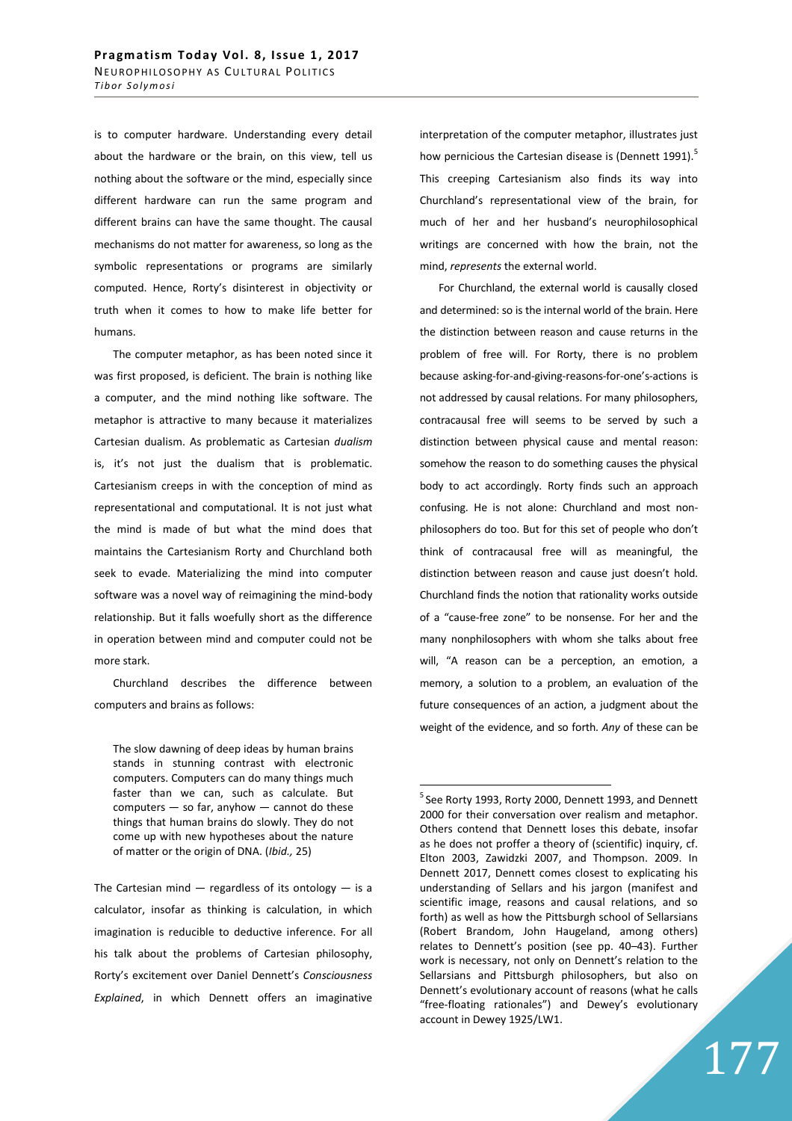is to computer hardware. Understanding every detail about the hardware or the brain, on this view, tell us nothing about the software or the mind, especially since different hardware can run the same program and different brains can have the same thought. The causal mechanisms do not matter for awareness, so long as the symbolic representations or programs are similarly computed. Hence, Rorty's disinterest in objectivity or truth when it comes to how to make life better for humans.

The computer metaphor, as has been noted since it was first proposed, is deficient. The brain is nothing like a computer, and the mind nothing like software. The metaphor is attractive to many because it materializes Cartesian dualism. As problematic as Cartesian *dualism* is, it's not just the dualism that is problematic. Cartesianism creeps in with the conception of mind as representational and computational. It is not just what the mind is made of but what the mind does that maintains the Cartesianism Rorty and Churchland both seek to evade. Materializing the mind into computer software was a novel way of reimagining the mind-body relationship. But it falls woefully short as the difference in operation between mind and computer could not be more stark.

Churchland describes the difference between computers and brains as follows:

The slow dawning of deep ideas by human brains stands in stunning contrast with electronic computers. Computers can do many things much faster than we can, such as calculate. But computers — so far, anyhow — cannot do these things that human brains do slowly. They do not come up with new hypotheses about the nature of matter or the origin of DNA. (*Ibid.,* 25)

The Cartesian mind  $-$  regardless of its ontology  $-$  is a calculator, insofar as thinking is calculation, in which imagination is reducible to deductive inference. For all his talk about the problems of Cartesian philosophy, Rorty's excitement over Daniel Dennett's *Consciousness Explained*, in which Dennett offers an imaginative interpretation of the computer metaphor, illustrates just how pernicious the Cartesian disease is (Dennett 1991).<sup>5</sup> This creeping Cartesianism also finds its way into Churchland's representational view of the brain, for much of her and her husband's neurophilosophical writings are concerned with how the brain, not the mind, *represents* the external world.

For Churchland, the external world is causally closed and determined: so is the internal world of the brain. Here the distinction between reason and cause returns in the problem of free will. For Rorty, there is no problem because asking-for-and-giving-reasons-for-one's-actions is not addressed by causal relations. For many philosophers, contracausal free will seems to be served by such a distinction between physical cause and mental reason: somehow the reason to do something causes the physical body to act accordingly. Rorty finds such an approach confusing. He is not alone: Churchland and most nonphilosophers do too. But for this set of people who don't think of contracausal free will as meaningful, the distinction between reason and cause just doesn't hold. Churchland finds the notion that rationality works outside of a "cause-free zone" to be nonsense. For her and the many nonphilosophers with whom she talks about free will, "A reason can be a perception, an emotion, a memory, a solution to a problem, an evaluation of the future consequences of an action, a judgment about the weight of the evidence, and so forth. *Any* of these can be

 $\overline{a}$ 

177

 $5$  See Rorty 1993, Rorty 2000, Dennett 1993, and Dennett 2000 for their conversation over realism and metaphor. Others contend that Dennett loses this debate, insofar as he does not proffer a theory of (scientific) inquiry, cf. Elton 2003, Zawidzki 2007, and Thompson. 2009. In Dennett 2017, Dennett comes closest to explicating his understanding of Sellars and his jargon (manifest and scientific image, reasons and causal relations, and so forth) as well as how the Pittsburgh school of Sellarsians (Robert Brandom, John Haugeland, among others) relates to Dennett's position (see pp. 40–43). Further work is necessary, not only on Dennett's relation to the Sellarsians and Pittsburgh philosophers, but also on Dennett's evolutionary account of reasons (what he calls "free-floating rationales") and Dewey's evolutionary account in Dewey 1925/LW1.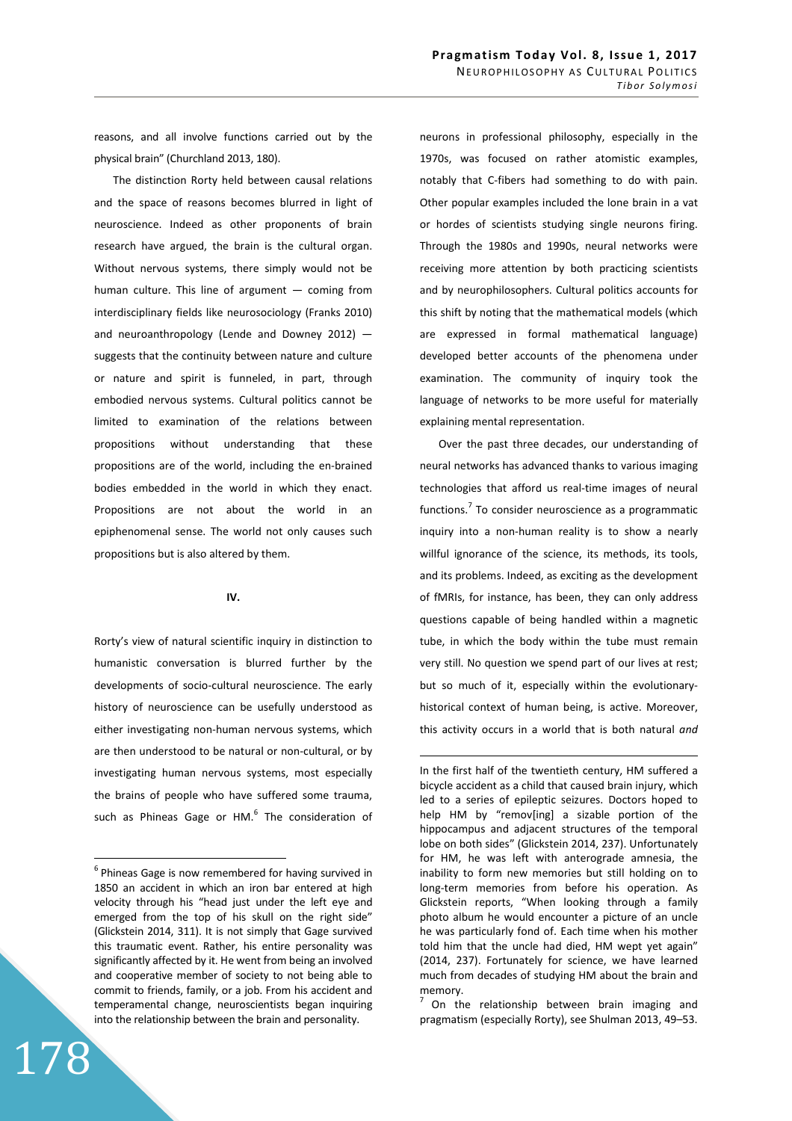reasons, and all involve functions carried out by the physical brain" (Churchland 2013, 180).

The distinction Rorty held between causal relations and the space of reasons becomes blurred in light of neuroscience. Indeed as other proponents of brain research have argued, the brain is the cultural organ. Without nervous systems, there simply would not be human culture. This line of argument  $-$  coming from interdisciplinary fields like neurosociology (Franks 2010) and neuroanthropology (Lende and Downey 2012) suggests that the continuity between nature and culture or nature and spirit is funneled, in part, through embodied nervous systems. Cultural politics cannot be limited to examination of the relations between propositions without understanding that these propositions are of the world, including the en-brained bodies embedded in the world in which they enact. Propositions are not about the world in an epiphenomenal sense. The world not only causes such propositions but is also altered by them.

#### **IV.**

Rorty's view of natural scientific inquiry in distinction to humanistic conversation is blurred further by the developments of socio-cultural neuroscience. The early history of neuroscience can be usefully understood as either investigating non-human nervous systems, which are then understood to be natural or non-cultural, or by investigating human nervous systems, most especially the brains of people who have suffered some trauma, such as Phineas Gage or HM. $^6$  The consideration of

178

 $\overline{a}$ 

neurons in professional philosophy, especially in the 1970s, was focused on rather atomistic examples, notably that C-fibers had something to do with pain. Other popular examples included the lone brain in a vat or hordes of scientists studying single neurons firing. Through the 1980s and 1990s, neural networks were receiving more attention by both practicing scientists and by neurophilosophers. Cultural politics accounts for this shift by noting that the mathematical models (which are expressed in formal mathematical language) developed better accounts of the phenomena under examination. The community of inquiry took the language of networks to be more useful for materially explaining mental representation.

Over the past three decades, our understanding of neural networks has advanced thanks to various imaging technologies that afford us real-time images of neural functions.<sup>7</sup> To consider neuroscience as a programmatic inquiry into a non-human reality is to show a nearly willful ignorance of the science, its methods, its tools, and its problems. Indeed, as exciting as the development of fMRIs, for instance, has been, they can only address questions capable of being handled within a magnetic tube, in which the body within the tube must remain very still. No question we spend part of our lives at rest; but so much of it, especially within the evolutionaryhistorical context of human being, is active. Moreover, this activity occurs in a world that is both natural *and*

 $\overline{a}$ 

<sup>7</sup>On the relationship between brain imaging and pragmatism (especially Rorty), see Shulman 2013, 49–53.

 $6$  Phineas Gage is now remembered for having survived in 1850 an accident in which an iron bar entered at high velocity through his "head just under the left eye and emerged from the top of his skull on the right side" (Glickstein 2014, 311). It is not simply that Gage survived this traumatic event. Rather, his entire personality was significantly affected by it. He went from being an involved and cooperative member of society to not being able to commit to friends, family, or a job. From his accident and temperamental change, neuroscientists began inquiring into the relationship between the brain and personality.

In the first half of the twentieth century, HM suffered a bicycle accident as a child that caused brain injury, which led to a series of epileptic seizures. Doctors hoped to help HM by "remov[ing] a sizable portion of the hippocampus and adjacent structures of the temporal lobe on both sides" (Glickstein 2014, 237). Unfortunately for HM, he was left with anterograde amnesia, the inability to form new memories but still holding on to long-term memories from before his operation. As Glickstein reports, "When looking through a family photo album he would encounter a picture of an uncle he was particularly fond of. Each time when his mother told him that the uncle had died, HM wept yet again" (2014, 237). Fortunately for science, we have learned much from decades of studying HM about the brain and memory.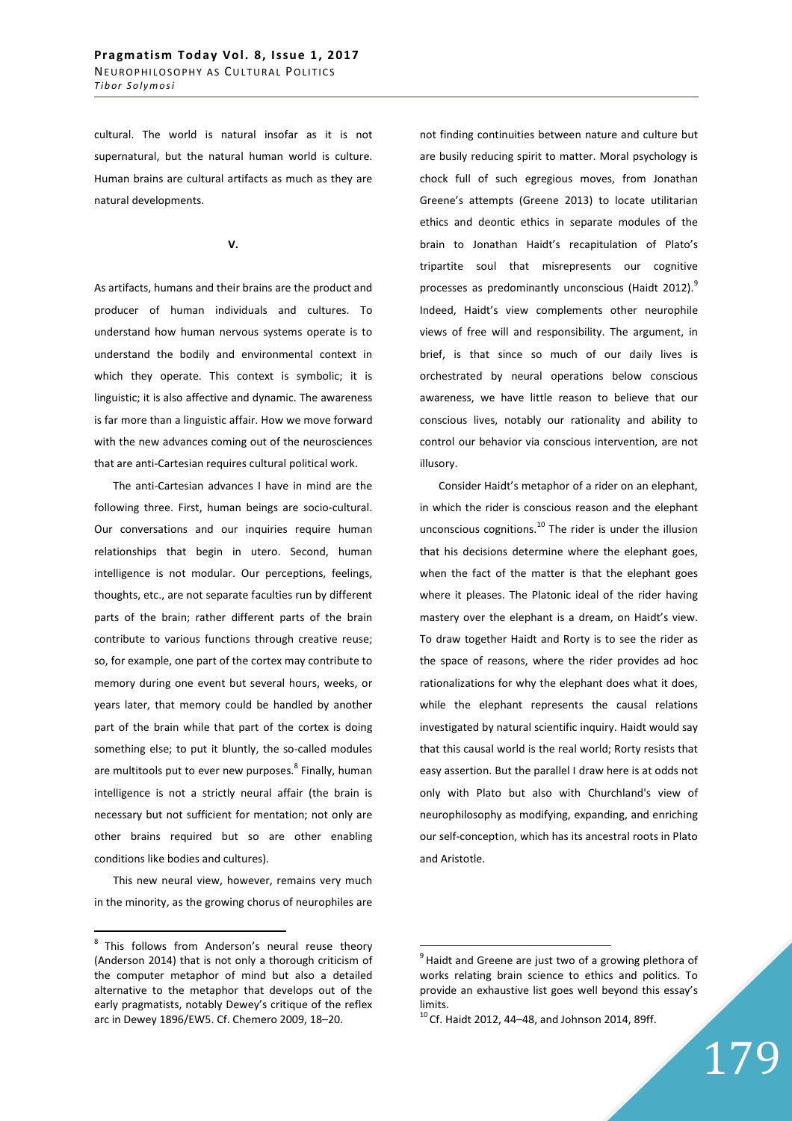cultural. The world is natural insofar as it is not supernatural, but the natural human world is culture. Human brains are cultural artifacts as much as they are natural developments.

#### **V.**

As artifacts, humans and their brains are the product and producer of human individuals and cultures. To understand how human nervous systems operate is to understand the bodily and environmental context in which they operate. This context is symbolic; it is linguistic; it is also affective and dynamic. The awareness is far more than a linguistic affair. How we move forward with the new advances coming out of the neurosciences that are anti-Cartesian requires cultural political work.

The anti-Cartesian advances I have in mind are the following three. First, human beings are socio-cultural. Our conversations and our inquiries require human relationships that begin in utero. Second, human intelligence is not modular. Our perceptions, feelings, thoughts, etc., are not separate faculties run by different parts of the brain; rather different parts of the brain contribute to various functions through creative reuse; so, for example, one part of the cortex may contribute to memory during one event but several hours, weeks, or years later, that memory could be handled by another part of the brain while that part of the cortex is doing something else; to put it bluntly, the so-called modules are multitools put to ever new purposes.<sup>8</sup> Finally, human intelligence is not a strictly neural affair (the brain is necessary but not sufficient for mentation; not only are other brains required but so are other enabling conditions like bodies and cultures).

This new neural view, however, remains very much in the minority, as the growing chorus of neurophiles are

 $\overline{a}$ 

not finding continuities between nature and culture but are busily reducing spirit to matter. Moral psychology is chock full of such egregious moves, from Jonathan Greene's attempts (Greene 2013) to locate utilitarian ethics and deontic ethics in separate modules of the brain to Jonathan Haidt's recapitulation of Plato's tripartite soul that misrepresents our cognitive processes as predominantly unconscious (Haidt 2012).<sup>9</sup> Indeed, Haidt's view complements other neurophile views of free will and responsibility. The argument, in brief, is that since so much of our daily lives is orchestrated by neural operations below conscious awareness, we have little reason to believe that our conscious lives, notably our rationality and ability to control our behavior via conscious intervention, are not illusory.

Consider Haidt's metaphor of a rider on an elephant, in which the rider is conscious reason and the elephant unconscious cognitions.<sup>10</sup> The rider is under the illusion that his decisions determine where the elephant goes, when the fact of the matter is that the elephant goes where it pleases. The Platonic ideal of the rider having mastery over the elephant is a dream, on Haidt's view. To draw together Haidt and Rorty is to see the rider as the space of reasons, where the rider provides ad hoc rationalizations for why the elephant does what it does, while the elephant represents the causal relations investigated by natural scientific inquiry. Haidt would say that this causal world is the real world; Rorty resists that easy assertion. But the parallel I draw here is at odds not only with Plato but also with Churchland's view of neurophilosophy as modifying, expanding, and enriching our self-conception, which has its ancestral roots in Plato and Aristotle.

 $8$  This follows from Anderson's neural reuse theory (Anderson 2014) that is not only a thorough criticism of the computer metaphor of mind but also a detailed alternative to the metaphor that develops out of the early pragmatists, notably Dewey's critique of the reflex arc in Dewey 1896/EW5. Cf. Chemero 2009, 18–20.

 $9$  Haidt and Greene are just two of a growing plethora of works relating brain science to ethics and politics. To provide an exhaustive list goes well beyond this essay's limits.

 $10$  Cf. Haidt 2012, 44-48, and Johnson 2014, 89ff.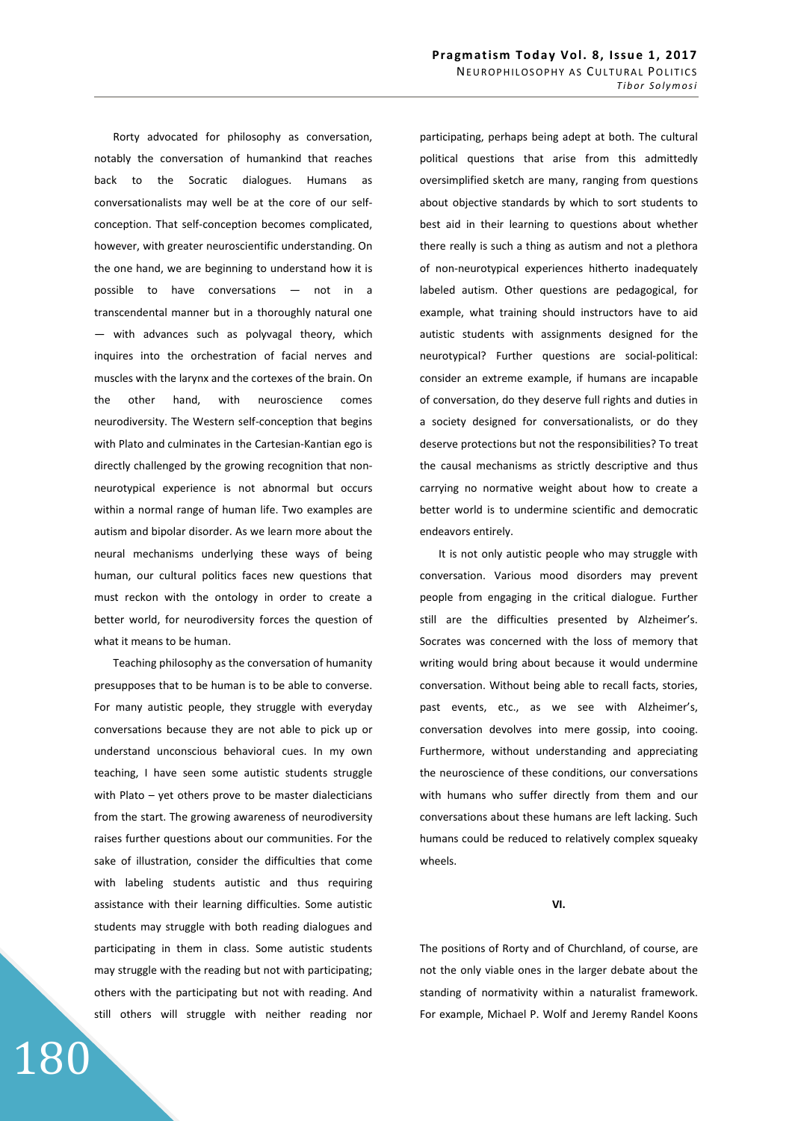Rorty advocated for philosophy as conversation, notably the conversation of humankind that reaches back to the Socratic dialogues. Humans as conversationalists may well be at the core of our selfconception. That self-conception becomes complicated, however, with greater neuroscientific understanding. On the one hand, we are beginning to understand how it is possible to have conversations — not in a transcendental manner but in a thoroughly natural one — with advances such as polyvagal theory, which inquires into the orchestration of facial nerves and muscles with the larynx and the cortexes of the brain. On the other hand, with neuroscience comes neurodiversity. The Western self-conception that begins with Plato and culminates in the Cartesian-Kantian ego is directly challenged by the growing recognition that nonneurotypical experience is not abnormal but occurs within a normal range of human life. Two examples are autism and bipolar disorder. As we learn more about the neural mechanisms underlying these ways of being human, our cultural politics faces new questions that must reckon with the ontology in order to create a better world, for neurodiversity forces the question of what it means to be human.

Teaching philosophy as the conversation of humanity presupposes that to be human is to be able to converse. For many autistic people, they struggle with everyday conversations because they are not able to pick up or understand unconscious behavioral cues. In my own teaching, I have seen some autistic students struggle with Plato – yet others prove to be master dialecticians from the start. The growing awareness of neurodiversity raises further questions about our communities. For the sake of illustration, consider the difficulties that come with labeling students autistic and thus requiring assistance with their learning difficulties. Some autistic students may struggle with both reading dialogues and participating in them in class. Some autistic students may struggle with the reading but not with participating; others with the participating but not with reading. And still others will struggle with neither reading nor

180

participating, perhaps being adept at both. The cultural political questions that arise from this admittedly oversimplified sketch are many, ranging from questions about objective standards by which to sort students to best aid in their learning to questions about whether there really is such a thing as autism and not a plethora of non-neurotypical experiences hitherto inadequately labeled autism. Other questions are pedagogical, for example, what training should instructors have to aid autistic students with assignments designed for the neurotypical? Further questions are social-political: consider an extreme example, if humans are incapable of conversation, do they deserve full rights and duties in a society designed for conversationalists, or do they deserve protections but not the responsibilities? To treat the causal mechanisms as strictly descriptive and thus carrying no normative weight about how to create a better world is to undermine scientific and democratic endeavors entirely.

It is not only autistic people who may struggle with conversation. Various mood disorders may prevent people from engaging in the critical dialogue. Further still are the difficulties presented by Alzheimer's. Socrates was concerned with the loss of memory that writing would bring about because it would undermine conversation. Without being able to recall facts, stories, past events, etc., as we see with Alzheimer's, conversation devolves into mere gossip, into cooing. Furthermore, without understanding and appreciating the neuroscience of these conditions, our conversations with humans who suffer directly from them and our conversations about these humans are left lacking. Such humans could be reduced to relatively complex squeaky wheels.

# **VI.**

The positions of Rorty and of Churchland, of course, are not the only viable ones in the larger debate about the standing of normativity within a naturalist framework. For example, Michael P. Wolf and Jeremy Randel Koons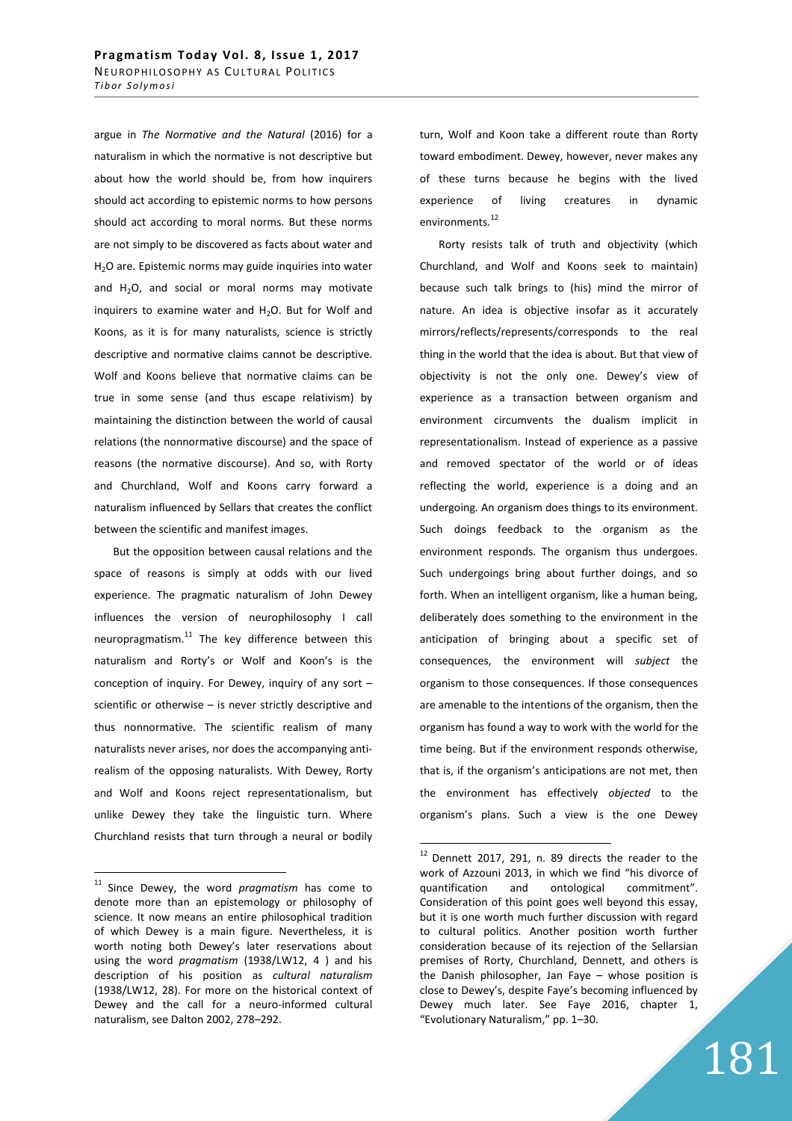argue in *The Normative and the Natural* (2016) for a naturalism in which the normative is not descriptive but about how the world should be, from how inquirers should act according to epistemic norms to how persons should act according to moral norms. But these norms are not simply to be discovered as facts about water and H<sub>2</sub>O are. Epistemic norms may guide inquiries into water and  $H_2O$ , and social or moral norms may motivate inquirers to examine water and  $H_2O$ . But for Wolf and Koons, as it is for many naturalists, science is strictly descriptive and normative claims cannot be descriptive. Wolf and Koons believe that normative claims can be true in some sense (and thus escape relativism) by maintaining the distinction between the world of causal relations (the nonnormative discourse) and the space of reasons (the normative discourse). And so, with Rorty and Churchland, Wolf and Koons carry forward a naturalism influenced by Sellars that creates the conflict between the scientific and manifest images.

But the opposition between causal relations and the space of reasons is simply at odds with our lived experience. The pragmatic naturalism of John Dewey influences the version of neurophilosophy I call neuropragmatism. $11$  The key difference between this naturalism and Rorty's or Wolf and Koon's is the conception of inquiry. For Dewey, inquiry of any sort – scientific or otherwise – is never strictly descriptive and thus nonnormative. The scientific realism of many naturalists never arises, nor does the accompanying antirealism of the opposing naturalists. With Dewey, Rorty and Wolf and Koons reject representationalism, but unlike Dewey they take the linguistic turn. Where Churchland resists that turn through a neural or bodily

 $\overline{a}$ 

turn, Wolf and Koon take a different route than Rorty toward embodiment. Dewey, however, never makes any of these turns because he begins with the lived experience of living creatures in dynamic environments.<sup>12</sup>

Rorty resists talk of truth and objectivity (which Churchland, and Wolf and Koons seek to maintain) because such talk brings to (his) mind the mirror of nature. An idea is objective insofar as it accurately mirrors/reflects/represents/corresponds to the real thing in the world that the idea is about. But that view of objectivity is not the only one. Dewey's view of experience as a transaction between organism and environment circumvents the dualism implicit in representationalism. Instead of experience as a passive and removed spectator of the world or of ideas reflecting the world, experience is a doing and an undergoing. An organism does things to its environment. Such doings feedback to the organism as the environment responds. The organism thus undergoes. Such undergoings bring about further doings, and so forth. When an intelligent organism, like a human being, deliberately does something to the environment in the anticipation of bringing about a specific set of consequences, the environment will *subject* the organism to those consequences. If those consequences are amenable to the intentions of the organism, then the organism has found a way to work with the world for the time being. But if the environment responds otherwise, that is, if the organism's anticipations are not met, then the environment has effectively *objected* to the organism's plans. Such a view is the one Dewey

 $\overline{a}$ 

181

<sup>&</sup>lt;sup>11</sup> Since Dewey, the word *pragmatism* has come to denote more than an epistemology or philosophy of science. It now means an entire philosophical tradition of which Dewey is a main figure. Nevertheless, it is worth noting both Dewey's later reservations about using the word *pragmatism* (1938/LW12, 4 ) and his description of his position as *cultural naturalism* (1938/LW12, 28). For more on the historical context of Dewey and the call for a neuro-informed cultural naturalism, see Dalton 2002, 278–292.

 $12$  Dennett 2017, 291, n. 89 directs the reader to the work of Azzouni 2013, in which we find "his divorce of quantification and ontological commitment". Consideration of this point goes well beyond this essay, but it is one worth much further discussion with regard to cultural politics. Another position worth further consideration because of its rejection of the Sellarsian premises of Rorty, Churchland, Dennett, and others is the Danish philosopher, Jan Faye – whose position is close to Dewey's, despite Faye's becoming influenced by Dewey much later. See Faye 2016, chapter 1, "Evolutionary Naturalism," pp. 1–30.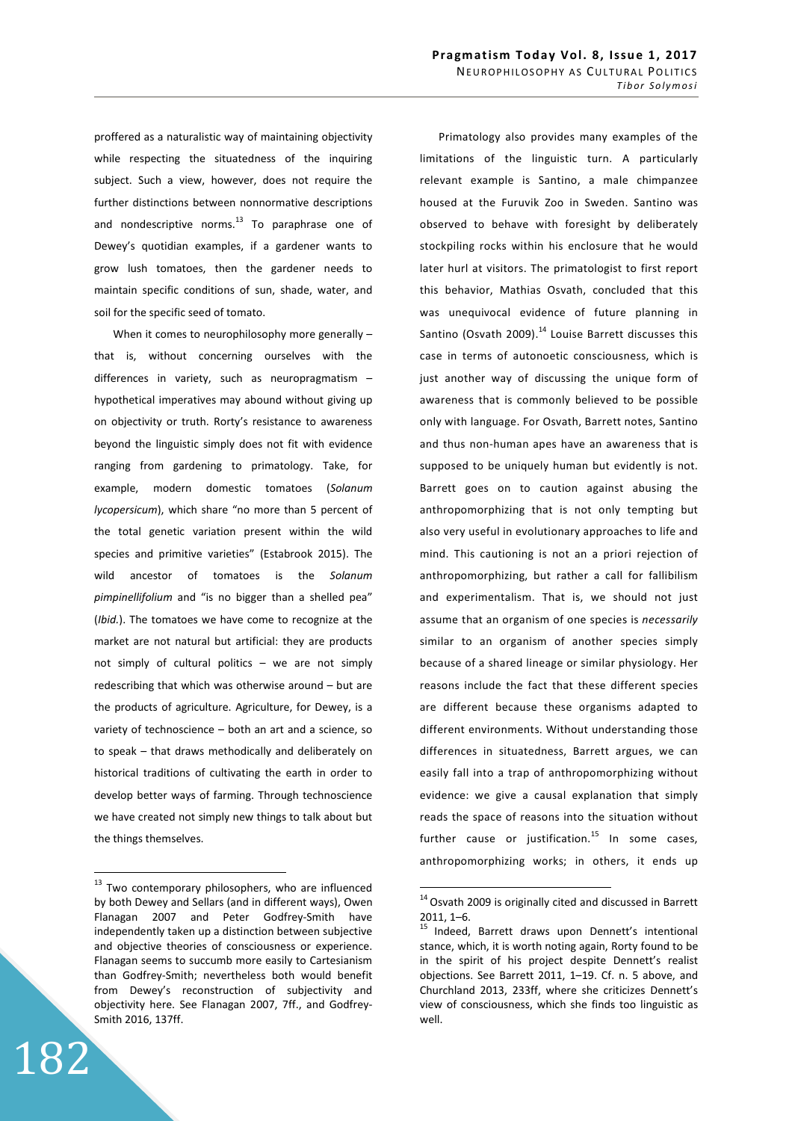proffered as a naturalistic way of maintaining objectivity while respecting the situatedness of the inquiring subject. Such a view, however, does not require the further distinctions between nonnormative descriptions and nondescriptive norms. $^{13}$  To paraphrase one of Dewey's quotidian examples, if a gardener wants to grow lush tomatoes, then the gardener needs to maintain specific conditions of sun, shade, water, and soil for the specific seed of tomato.

When it comes to neurophilosophy more generally that is, without concerning ourselves with the differences in variety, such as neuropragmatism – hypothetical imperatives may abound without giving up on objectivity or truth. Rorty's resistance to awareness beyond the linguistic simply does not fit with evidence ranging from gardening to primatology. Take, for example, modern domestic tomatoes (*Solanum lycopersicum*), which share "no more than 5 percent of the total genetic variation present within the wild species and primitive varieties" (Estabrook 2015). The wild ancestor of tomatoes is the *Solanum pimpinellifolium* and "is no bigger than a shelled pea" (*Ibid.*). The tomatoes we have come to recognize at the market are not natural but artificial: they are products not simply of cultural politics – we are not simply redescribing that which was otherwise around – but are the products of agriculture. Agriculture, for Dewey, is a variety of technoscience – both an art and a science, so to speak – that draws methodically and deliberately on historical traditions of cultivating the earth in order to develop better ways of farming. Through technoscience we have created not simply new things to talk about but the things themselves.

182

 $\overline{a}$ 

Primatology also provides many examples of the limitations of the linguistic turn. A particularly relevant example is Santino, a male chimpanzee housed at the Furuvik Zoo in Sweden. Santino was observed to behave with foresight by deliberately stockpiling rocks within his enclosure that he would later hurl at visitors. The primatologist to first report this behavior, Mathias Osvath, concluded that this was unequivocal evidence of future planning in Santino (Osvath 2009). $^{14}$  Louise Barrett discusses this case in terms of autonoetic consciousness, which is just another way of discussing the unique form of awareness that is commonly believed to be possible only with language. For Osvath, Barrett notes, Santino and thus non-human apes have an awareness that is supposed to be uniquely human but evidently is not. Barrett goes on to caution against abusing the anthropomorphizing that is not only tempting but also very useful in evolutionary approaches to life and mind. This cautioning is not an a priori rejection of anthropomorphizing, but rather a call for fallibilism and experimentalism. That is, we should not just assume that an organism of one species is *necessarily* similar to an organism of another species simply because of a shared lineage or similar physiology. Her reasons include the fact that these different species are different because these organisms adapted to different environments. Without understanding those differences in situatedness, Barrett argues, we can easily fall into a trap of anthropomorphizing without evidence: we give a causal explanation that simply reads the space of reasons into the situation without further cause or justification. $^{15}$  In some cases, anthropomorphizing works; in others, it ends up

<sup>&</sup>lt;sup>13</sup> Two contemporary philosophers, who are influenced by both Dewey and Sellars (and in different ways), Owen Flanagan 2007 and Peter Godfrey-Smith have independently taken up a distinction between subjective and objective theories of consciousness or experience. Flanagan seems to succumb more easily to Cartesianism than Godfrey-Smith; nevertheless both would benefit from Dewey's reconstruction of subjectivity and objectivity here. See Flanagan 2007, 7ff., and Godfrey-Smith 2016, 137ff.

 $14$  Osvath 2009 is originally cited and discussed in Barrett 2011, 1–6.

<sup>&</sup>lt;sup>15</sup> Indeed, Barrett draws upon Dennett's intentional stance, which, it is worth noting again, Rorty found to be in the spirit of his project despite Dennett's realist objections. See Barrett 2011, 1–19. Cf. n. 5 above, and Churchland 2013, 233ff, where she criticizes Dennett's view of consciousness, which she finds too linguistic as well.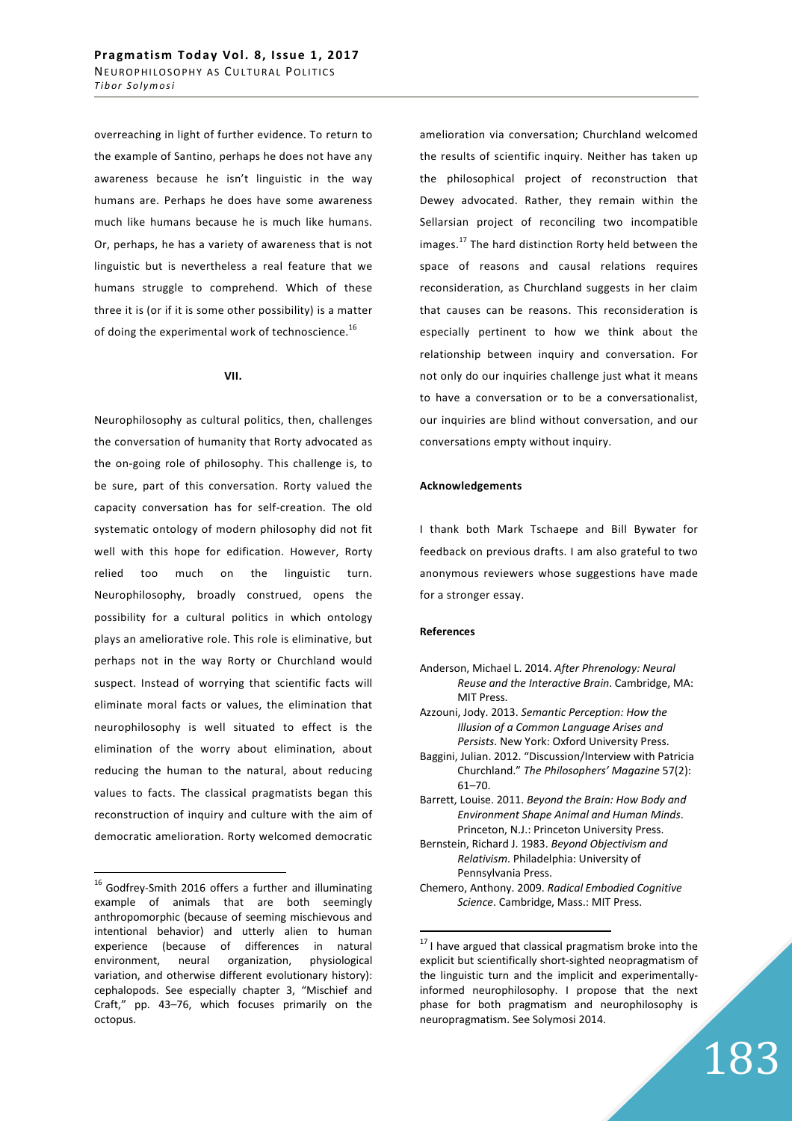overreaching in light of further evidence. To return to the example of Santino, perhaps he does not have any awareness because he isn't linguistic in the way humans are. Perhaps he does have some awareness much like humans because he is much like humans. Or, perhaps, he has a variety of awareness that is not linguistic but is nevertheless a real feature that we humans struggle to comprehend. Which of these three it is (or if it is some other possibility) is a matter of doing the experimental work of technoscience.<sup>16</sup>

#### **VII.**

Neurophilosophy as cultural politics, then, challenges the conversation of humanity that Rorty advocated as the on-going role of philosophy. This challenge is, to be sure, part of this conversation. Rorty valued the capacity conversation has for self-creation. The old systematic ontology of modern philosophy did not fit well with this hope for edification. However, Rorty relied too much on the linguistic turn. Neurophilosophy, broadly construed, opens the possibility for a cultural politics in which ontology plays an ameliorative role. This role is eliminative, but perhaps not in the way Rorty or Churchland would suspect. Instead of worrying that scientific facts will eliminate moral facts or values, the elimination that neurophilosophy is well situated to effect is the elimination of the worry about elimination, about reducing the human to the natural, about reducing values to facts. The classical pragmatists began this reconstruction of inquiry and culture with the aim of democratic amelioration. Rorty welcomed democratic

 $\overline{a}$ 

amelioration via conversation; Churchland welcomed the results of scientific inquiry. Neither has taken up the philosophical project of reconstruction that Dewey advocated. Rather, they remain within the Sellarsian project of reconciling two incompatible images.<sup>17</sup> The hard distinction Rorty held between the space of reasons and causal relations requires reconsideration, as Churchland suggests in her claim that causes can be reasons. This reconsideration is especially pertinent to how we think about the relationship between inquiry and conversation. For not only do our inquiries challenge just what it means to have a conversation or to be a conversationalist, our inquiries are blind without conversation, and our conversations empty without inquiry.

#### **Acknowledgements**

I thank both Mark Tschaepe and Bill Bywater for feedback on previous drafts. I am also grateful to two anonymous reviewers whose suggestions have made for a stronger essay.

## **References**

- Anderson, Michael L. 2014. *After Phrenology: Neural Reuse and the Interactive Brain*. Cambridge, MA: MIT Press.
- Azzouni, Jody. 2013. *Semantic Perception: How the Illusion of a Common Language Arises and Persists*. New York: Oxford University Press.
- Baggini, Julian. 2012. "Discussion/Interview with Patricia Churchland." *The Philosophers' Magazine* 57(2): 61–70.
- Barrett, Louise. 2011. *Beyond the Brain: How Body and Environment Shape Animal and Human Minds*. Princeton, N.J.: Princeton University Press.
- Bernstein, Richard J. 1983. *Beyond Objectivism and Relativism*. Philadelphia: University of Pennsylvania Press.
- Chemero, Anthony. 2009. *Radical Embodied Cognitive Science*. Cambridge, Mass.: MIT Press.

 $16$  Godfrey-Smith 2016 offers a further and illuminating example of animals that are both seemingly anthropomorphic (because of seeming mischievous and intentional behavior) and utterly alien to human experience (because of differences in natural environment, neural organization, physiological variation, and otherwise different evolutionary history): cephalopods. See especially chapter 3, "Mischief and Craft," pp. 43–76, which focuses primarily on the octopus.

 $17$  I have argued that classical pragmatism broke into the explicit but scientifically short-sighted neopragmatism of the linguistic turn and the implicit and experimentallyinformed neurophilosophy. I propose that the next phase for both pragmatism and neurophilosophy is neuropragmatism. See Solymosi 2014.